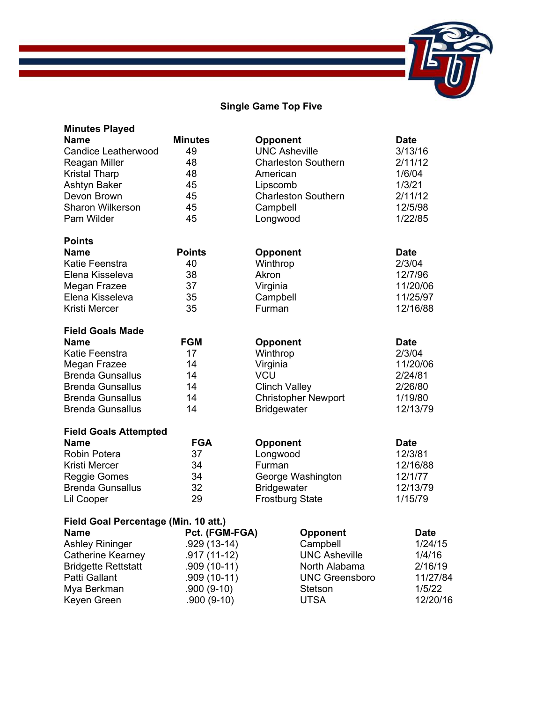# **Single Game Top Five**

| <b>Minutes Played</b>                |                |                            |             |
|--------------------------------------|----------------|----------------------------|-------------|
| <b>Name</b>                          | <b>Minutes</b> | <b>Opponent</b>            | <b>Date</b> |
| <b>Candice Leatherwood</b>           | 49             | <b>UNC Asheville</b>       | 3/13/16     |
| Reagan Miller                        | 48             | <b>Charleston Southern</b> | 2/11/12     |
| <b>Kristal Tharp</b>                 | 48             | American                   | 1/6/04      |
| Ashtyn Baker                         | 45             | Lipscomb                   | 1/3/21      |
| Devon Brown                          | 45             | <b>Charleston Southern</b> | 2/11/12     |
| <b>Sharon Wilkerson</b>              | 45             | Campbell                   | 12/5/98     |
| Pam Wilder                           | 45             | Longwood                   | 1/22/85     |
| <b>Points</b>                        |                |                            |             |
| <b>Name</b>                          | <b>Points</b>  | <b>Opponent</b>            | <b>Date</b> |
| Katie Feenstra                       | 40             | Winthrop                   | 2/3/04      |
| Elena Kisseleva                      | 38             | Akron                      | 12/7/96     |
| Megan Frazee                         | 37             | Virginia                   | 11/20/06    |
| Elena Kisseleva                      | 35             | Campbell                   | 11/25/97    |
| <b>Kristi Mercer</b>                 | 35             | Furman                     | 12/16/88    |
| <b>Field Goals Made</b>              |                |                            |             |
| <b>Name</b>                          | <b>FGM</b>     | <b>Opponent</b>            | <b>Date</b> |
| Katie Feenstra                       | 17             | Winthrop                   | 2/3/04      |
| Megan Frazee                         | 14             | Virginia                   | 11/20/06    |
| <b>Brenda Gunsallus</b>              | 14             | <b>VCU</b>                 | 2/24/81     |
| <b>Brenda Gunsallus</b>              | 14             | <b>Clinch Valley</b>       | 2/26/80     |
| <b>Brenda Gunsallus</b>              | 14             | <b>Christopher Newport</b> | 1/19/80     |
| <b>Brenda Gunsallus</b>              | 14             | <b>Bridgewater</b>         | 12/13/79    |
| <b>Field Goals Attempted</b>         |                |                            |             |
| <b>Name</b>                          | <b>FGA</b>     | <b>Opponent</b>            | <b>Date</b> |
| <b>Robin Potera</b>                  | 37             | Longwood                   | 12/3/81     |
| <b>Kristi Mercer</b>                 | 34             | Furman                     | 12/16/88    |
| <b>Reggie Gomes</b>                  | 34             | George Washington          | 12/1/77     |
| <b>Brenda Gunsallus</b>              | 32             | <b>Bridgewater</b>         | 12/13/79    |
| Lil Cooper                           | 29             | <b>Frostburg State</b>     | 1/15/79     |
| Field Goal Percentage (Min. 10 att.) |                |                            |             |
| <b>Name</b>                          | Pct. (FGM-FGA) | <b>Opponent</b>            | <b>Date</b> |
| <b>Ashley Rininger</b>               | .929 (13-14)   | Campbell                   | 1/24/15     |
| Catherine Kearney                    | .917 (11-12)   | <b>UNC Asheville</b>       | 1/4/16      |
| <b>Bridgette Rettstatt</b>           | $.909(10-11)$  | North Alabama              | 2/16/19     |
| Patti Gallant                        | $.909(10-11)$  | <b>UNC Greensboro</b>      | 11/27/84    |
| Mya Berkman                          | $.900(9-10)$   | Stetson                    | 1/5/22      |
| Keyen Green                          | $.900(9-10)$   | <b>UTSA</b>                | 12/20/16    |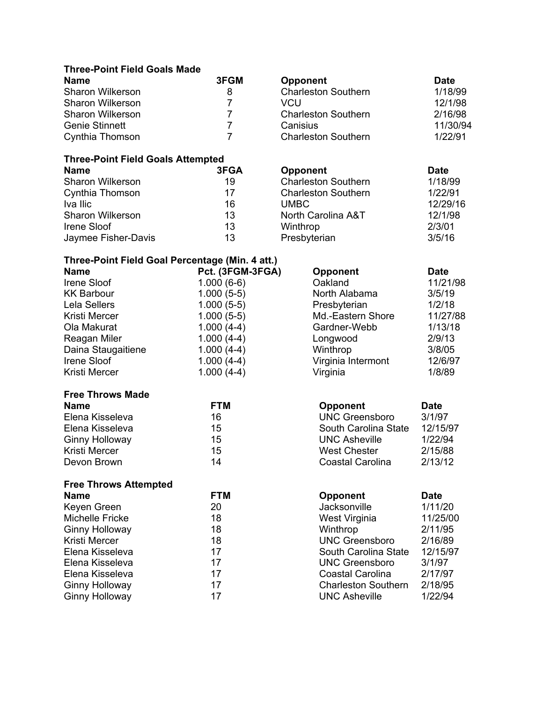#### **Three-Point Field Goals Made**

| <b>Name</b>             | 3FGM |
|-------------------------|------|
| Sharon Wilkerson        | 8    |
| <b>Sharon Wilkerson</b> |      |
| Sharon Wilkerson        |      |
| <b>Genie Stinnett</b>   |      |
| Cynthia Thomson         |      |

#### **Three-Point Field Goals Attempted**

| <b>Name</b>             | 3FGA | <b>Opponent</b>            | <b>Date</b> |
|-------------------------|------|----------------------------|-------------|
| <b>Sharon Wilkerson</b> | 19   | <b>Charleston Southern</b> | 1/18/99     |
| Cynthia Thomson         | 17   | <b>Charleston Southern</b> | 1/22/91     |
| Iva Ilic                | 16   | UMBC.                      | 12/29/16    |
| <b>Sharon Wilkerson</b> | 13   | North Carolina A&T         | 12/1/98     |
| Irene Sloof             | 13   | Winthrop                   | 2/3/01      |
| Jaymee Fisher-Davis     | 13   | Presbyterian               | 3/5/16      |

| <b>Name</b>      | 3FGM | <b>Opponent</b>            | <b>Date</b> |
|------------------|------|----------------------------|-------------|
| Sharon Wilkerson | 8    | <b>Charleston Southern</b> | 1/18/99     |
| Sharon Wilkerson |      | VCU                        | 12/1/98     |
| Sharon Wilkerson |      | <b>Charleston Southern</b> | 2/16/98     |
| Genie Stinnett   |      | Canisius                   | 11/30/94    |
| Cynthia Thomson  |      | <b>Charleston Southern</b> | 1/22/91     |

| Cynthia Thomson     | 17 | <b>Charleston Southern</b> | 1/22/91  |
|---------------------|----|----------------------------|----------|
| Iva Ilic            | 16 | UMBC.                      | 12/29/16 |
| Sharon Wilkerson    | 13 | North Carolina A&T         | 12/1/98  |
| Irene Sloof         | 13 | Winthrop                   | 2/3/01   |
| Jaymee Fisher-Davis | 13 | Presbyterian               | 3/5/16   |

### **Three-Point Field Goal Percentage (Min. 4 att.)**

| <b>Name</b>                  | Pct. (3FGM-3FGA) | <b>Opponent</b>            | <b>Date</b> |
|------------------------------|------------------|----------------------------|-------------|
| Irene Sloof                  | $1.000(6-6)$     | Oakland                    | 11/21/98    |
| <b>KK Barbour</b>            | $1.000(5-5)$     | North Alabama              | 3/5/19      |
| <b>Lela Sellers</b>          | $1.000(5-5)$     | Presbyterian               | 1/2/18      |
| <b>Kristi Mercer</b>         | $1.000(5-5)$     | Md.-Eastern Shore          | 11/27/88    |
| Ola Makurat                  | $1.000(4-4)$     | Gardner-Webb               | 1/13/18     |
| Reagan Miler                 | $1.000(4-4)$     | Longwood                   | 2/9/13      |
| Daina Staugaitiene           | $1.000(4-4)$     | Winthrop                   | 3/8/05      |
| Irene Sloof                  | $1.000(4-4)$     | Virginia Intermont         | 12/6/97     |
| Kristi Mercer                | $1.000(4-4)$     | Virginia                   | 1/8/89      |
| <b>Free Throws Made</b>      |                  |                            |             |
| <b>Name</b>                  | <b>FTM</b>       | <b>Opponent</b>            | <b>Date</b> |
| Elena Kisseleva              | 16               | <b>UNC Greensboro</b>      | 3/1/97      |
| Elena Kisseleva              | 15               | South Carolina State       | 12/15/97    |
| <b>Ginny Holloway</b>        | 15               | <b>UNC Asheville</b>       | 1/22/94     |
| Kristi Mercer                | 15               | <b>West Chester</b>        | 2/15/88     |
| Devon Brown                  | 14               | Coastal Carolina           | 2/13/12     |
| <b>Free Throws Attempted</b> |                  |                            |             |
| <b>Name</b>                  | <b>FTM</b>       | <b>Opponent</b>            | <b>Date</b> |
| Keyen Green                  | 20               | Jacksonville               | 1/11/20     |
| <b>Michelle Fricke</b>       | 18               | West Virginia              | 11/25/00    |
| <b>Ginny Holloway</b>        | 18               | Winthrop                   | 2/11/95     |
| Kristi Mercer                | 18               | <b>UNC Greensboro</b>      | 2/16/89     |
| Elena Kisseleva              | 17               | South Carolina State       | 12/15/97    |
| Elena Kisseleva              | 17               | <b>UNC Greensboro</b>      | 3/1/97      |
| Elena Kisseleva              | 17               | <b>Coastal Carolina</b>    | 2/17/97     |
| <b>Ginny Holloway</b>        | 17               | <b>Charleston Southern</b> | 2/18/95     |
| <b>Ginny Holloway</b>        | 17               | <b>UNC Asheville</b>       | 1/22/94     |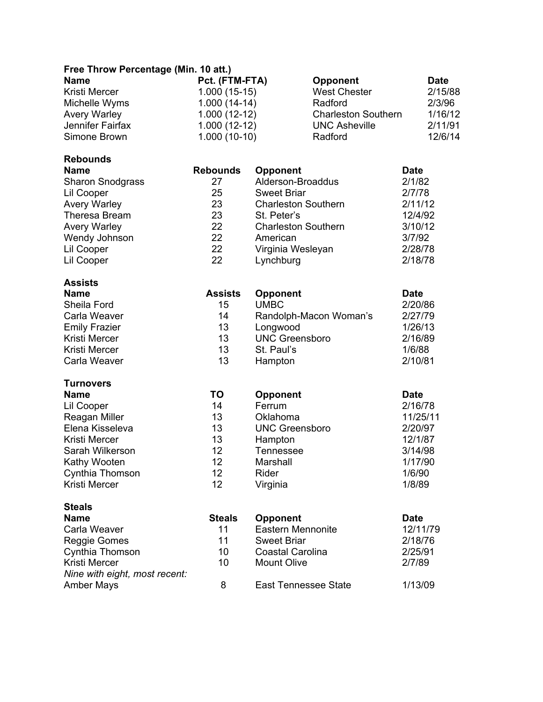#### **Free Throw Percentage (Min. 10 att.)**

| <b>Name</b>         | Pct. (FTM-FTA) | <b>Opponent</b>            | <b>Date</b> |
|---------------------|----------------|----------------------------|-------------|
| Kristi Mercer       | $1.000(15-15)$ | <b>West Chester</b>        | 2/15/88     |
| Michelle Wyms       | $1.000(14-14)$ | Radford                    | 2/3/96      |
| <b>Avery Warley</b> | $1.000(12-12)$ | <b>Charleston Southern</b> | 1/16/12     |
| Jennifer Fairfax    | $1.000(12-12)$ | <b>UNC Asheville</b>       | 2/11/91     |
| Simone Brown        | $1.000(10-10)$ | Radford                    | 12/6/14     |

## **Rebounds**

| .                       |                 |                            |             |
|-------------------------|-----------------|----------------------------|-------------|
| <b>Name</b>             | <b>Rebounds</b> | <b>Opponent</b>            | <b>Date</b> |
| <b>Sharon Snodgrass</b> | 27              | Alderson-Broaddus          | 2/1/82      |
| Lil Cooper              | 25              | <b>Sweet Briar</b>         | 2/7/78      |
| <b>Avery Warley</b>     | 23              | <b>Charleston Southern</b> | 2/11/12     |
| <b>Theresa Bream</b>    | 23              | St. Peter's                | 12/4/92     |
| <b>Avery Warley</b>     | 22              | <b>Charleston Southern</b> | 3/10/12     |
| Wendy Johnson           | 22              | American                   | 3/7/92      |
| Lil Cooper              | 22              | Virginia Wesleyan          | 2/28/78     |
| Lil Cooper              | 22              | Lynchburg                  | 2/18/78     |
| <b>Assists</b>          |                 |                            |             |
| <b>Name</b>             | <b>Assists</b>  | <b>Opponent</b>            | <b>Date</b> |
| Sheila Ford             | 15              | <b>UMBC</b>                | 2/20/86     |
| Carla Weaver            | 14              | Randolnh-Macon Woman's     | 2/27/79     |

| Shella Ford          | ю   | UNDU                   | ZIZUIOD. |
|----------------------|-----|------------------------|----------|
| Carla Weaver         | 14  | Randolph-Macon Woman's | 2/27/79  |
| <b>Emily Frazier</b> | 13  | Longwood               | 1/26/13  |
| Kristi Mercer        | 13. | <b>UNC Greensboro</b>  | 2/16/89  |
| Kristi Mercer        | 13  | St. Paul's             | 1/6/88   |
| Carla Weaver         | 13  | Hampton                | 2/10/81  |

# **Turnovers**

| <b>Name</b>          | ΤO | <b>Opponent</b>       | <b>Date</b> |
|----------------------|----|-----------------------|-------------|
| Lil Cooper           | 14 | Ferrum                | 2/16/78     |
| Reagan Miller        | 13 | Oklahoma              | 11/25/11    |
| Elena Kisseleva      | 13 | <b>UNC Greensboro</b> | 2/20/97     |
| Kristi Mercer        | 13 | Hampton               | 12/1/87     |
| Sarah Wilkerson      | 12 | Tennessee             | 3/14/98     |
| Kathy Wooten         | 12 | Marshall              | 1/17/90     |
| Cynthia Thomson      | 12 | Rider                 | 1/6/90      |
| <b>Kristi Mercer</b> | 12 | Virginia              | 1/8/89      |

| <b>Steals</b>                                  |               |                             |             |
|------------------------------------------------|---------------|-----------------------------|-------------|
| <b>Name</b>                                    | <b>Steals</b> | <b>Opponent</b>             | <b>Date</b> |
| Carla Weaver                                   | 11            | <b>Eastern Mennonite</b>    | 12/11/79    |
| Reggie Gomes                                   | 11            | <b>Sweet Briar</b>          | 2/18/76     |
| Cynthia Thomson                                | 10            | <b>Coastal Carolina</b>     | 2/25/91     |
| Kristi Mercer<br>Nine with eight, most recent: | 10            | <b>Mount Olive</b>          | 2/7/89      |
| <b>Amber Mays</b>                              | 8             | <b>East Tennessee State</b> | 1/13/09     |